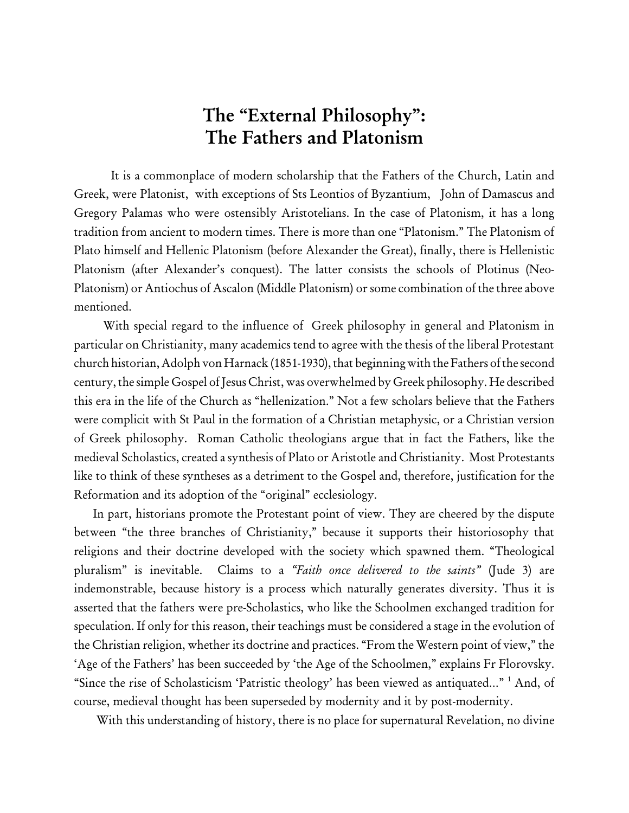# **The "External Philosophy": The Fathers and Platonism**

It is a commonplace of modern scholarship that the Fathers of the Church, Latin and Greek, were Platonist, with exceptions of Sts Leontios of Byzantium, John of Damascus and Gregory Palamas who were ostensibly Aristotelians. In the case of Platonism, it has a long tradition from ancient to modern times. There is more than one "Platonism." The Platonism of Plato himself and Hellenic Platonism (before Alexander the Great), finally, there is Hellenistic Platonism (after Alexander's conquest). The latter consists the schools of Plotinus (Neo-Platonism) or Antiochus of Ascalon (Middle Platonism) or some combination of the three above mentioned.

With special regard to the influence of Greek philosophy in general and Platonism in particular on Christianity, many academics tend to agree with the thesis of the liberal Protestant church historian, Adolph von Harnack (1851-1930), that beginning with theFathers ofthe second century, the simple Gospel ofJesus Christ, was overwhelmed byGreek philosophy. He described this era in the life of the Church as "hellenization." Not a few scholars believe that the Fathers were complicit with St Paul in the formation of a Christian metaphysic, or a Christian version of Greek philosophy. Roman Catholic theologians argue that in fact the Fathers, like the medieval Scholastics, created a synthesis of Plato or Aristotle and Christianity. Most Protestants like to think of these syntheses as a detriment to the Gospel and, therefore, justification for the Reformation and its adoption of the "original" ecclesiology.

In part, historians promote the Protestant point of view. They are cheered by the dispute between "the three branches of Christianity," because it supports their historiosophy that religions and their doctrine developed with the society which spawned them. "Theological pluralism" is inevitable. Claims to a *"Faith once delivered to the saints"* (Jude 3) are indemonstrable, because history is a process which naturally generates diversity. Thus it is asserted that the fathers were pre-Scholastics, who like the Schoolmen exchanged tradition for speculation. If only for this reason, their teachings must be considered a stage in the evolution of the Christian religion, whether its doctrine and practices. "From the Western point of view," the 'Age of the Fathers' has been succeeded by 'the Age of the Schoolmen," explains Fr Florovsky. "Since the rise of Scholasticism 'Patristic theology' has been viewed as antiquated…" And, of <sup>1</sup> course, medieval thought has been superseded by modernity and it by post-modernity.

With this understanding of history, there is no place for supernatural Revelation, no divine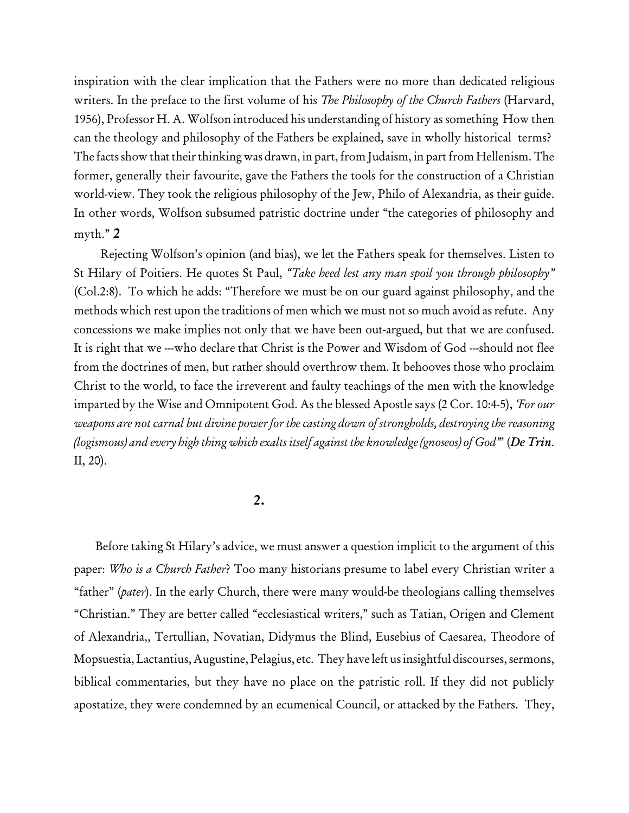inspiration with the clear implication that the Fathers were no more than dedicated religious writers. In the preface to the first volume of his *The Philosophy of the Church Fathers* (Harvard, 1956), Professor H. A. Wolfson introduced his understanding of history as something How then can the theology and philosophy of the Fathers be explained, save in wholly historical terms? The facts show that their thinking was drawn, in part, from Judaism, in part from Hellenism. The former, generally their favourite, gave the Fathers the tools for the construction of a Christian world-view. They took the religious philosophy of the Jew, Philo of Alexandria, as their guide. In other words, Wolfson subsumed patristic doctrine under "the categories of philosophy and myth." **2**

Rejecting Wolfson's opinion (and bias), we let the Fathers speak for themselves. Listen to St Hilary of Poitiers. He quotes St Paul, *"Take heed lest any man spoil you through philosophy"* (Col.2:8). To which he adds: "Therefore we must be on our guard against philosophy, and the methods which rest upon the traditions of men which we must not so much avoid as refute. Any concessions we make implies not only that we have been out-argued, but that we are confused. It is right that we ---who declare that Christ is the Power and Wisdom of God ---should not flee from the doctrines of men, but rather should overthrow them. It behooves those who proclaim Christ to the world, to face the irreverent and faulty teachings of the men with the knowledge imparted by the Wise and Omnipotent God. As the blessed Apostle says (2 Cor. 10:4-5), *'For our weapons are not carnal but divine power for the casting down of strongholds, destroying the reasoning (logismous) and every high thing which exalts itself against the knowledge (gnoseos) of God'*" (*De Trin*. II, 20).

## **2.**

Before taking St Hilary's advice, we must answer a question implicit to the argument of this paper: *Who is a Church Father*? Too many historians presume to label every Christian writer a "father" (*pater*). In the early Church, there were many would-be theologians calling themselves "Christian." They are better called "ecclesiastical writers," such as Tatian, Origen and Clement of Alexandria,, Tertullian, Novatian, Didymus the Blind, Eusebius of Caesarea, Theodore of Mopsuestia, Lactantius, Augustine, Pelagius, etc. They have left us insightful discourses, sermons, biblical commentaries, but they have no place on the patristic roll. If they did not publicly apostatize, they were condemned by an ecumenical Council, or attacked by the Fathers. They,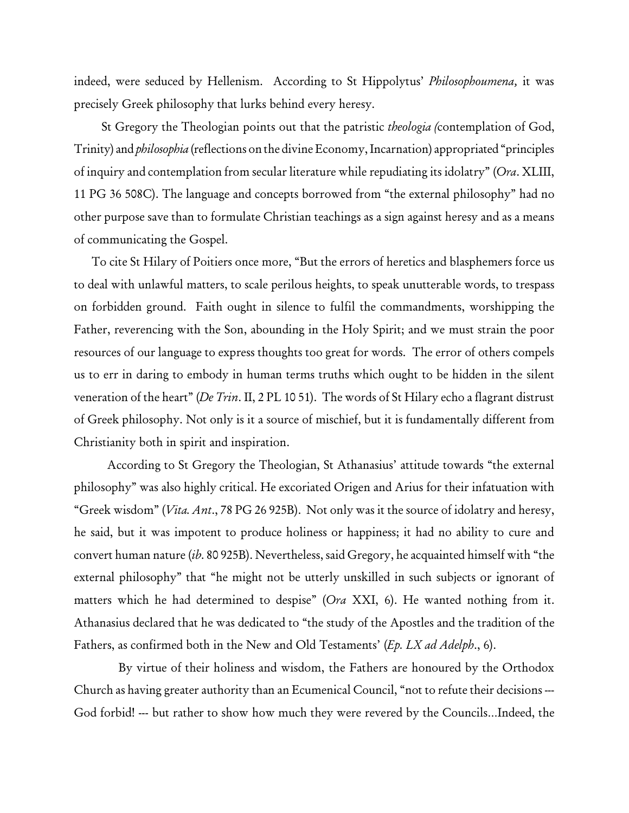indeed, were seduced by Hellenism. According to St Hippolytus' *Philosophoumena,* it was precisely Greek philosophy that lurks behind every heresy.

St Gregory the Theologian points out that the patristic *theologia (*contemplation of God, Trinity) and *philosophia* (reflections on the divine Economy, Incarnation) appropriated "principles of inquiry and contemplation from secular literature while repudiating its idolatry" (*Ora*. XLIII, 11 PG 36 508C). The language and concepts borrowed from "the external philosophy" had no other purpose save than to formulate Christian teachings as a sign against heresy and as a means of communicating the Gospel.

To cite St Hilary of Poitiers once more, "But the errors of heretics and blasphemers force us to deal with unlawful matters, to scale perilous heights, to speak unutterable words, to trespass on forbidden ground. Faith ought in silence to fulfil the commandments, worshipping the Father, reverencing with the Son, abounding in the Holy Spirit; and we must strain the poor resources of our language to express thoughts too great for words. The error of others compels us to err in daring to embody in human terms truths which ought to be hidden in the silent veneration of the heart" (*De Trin*. II, 2 PL 10 51). The words of St Hilary echo a flagrant distrust of Greek philosophy. Not only is it a source of mischief, but it is fundamentally different from Christianity both in spirit and inspiration.

According to St Gregory the Theologian, St Athanasius' attitude towards "the external philosophy" was also highly critical. He excoriated Origen and Arius for their infatuation with "Greek wisdom" (*Vita. Ant*., 78 PG 26 925B). Not only was it the source of idolatry and heresy, he said, but it was impotent to produce holiness or happiness; it had no ability to cure and convert human nature (*ib*. 80 925B). Nevertheless, said Gregory, he acquainted himself with "the external philosophy" that "he might not be utterly unskilled in such subjects or ignorant of matters which he had determined to despise" (*Ora* XXI, 6). He wanted nothing from it. Athanasius declared that he was dedicated to "the study of the Apostles and the tradition of the Fathers, as confirmed both in the New and Old Testaments' (*Ep. LX ad Adelph*., 6).

By virtue of their holiness and wisdom, the Fathers are honoured by the Orthodox Church as having greater authority than an Ecumenical Council, "not to refute their decisions --- God forbid! --- but rather to show how much they were revered by the Councils…Indeed, the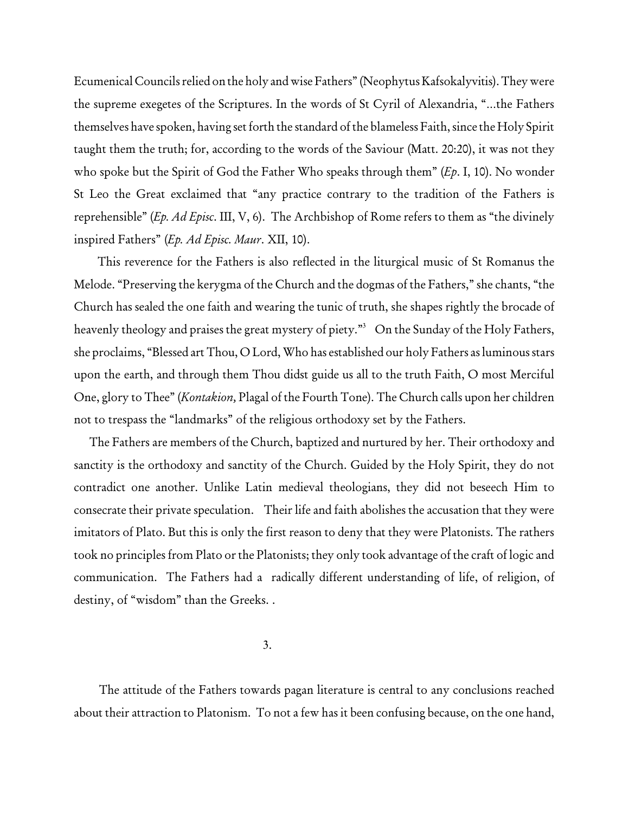Ecumenical Councils relied on the holy and wise Fathers" (Neophytus Kafsokalyvitis). They were the supreme exegetes of the Scriptures. In the words of St Cyril of Alexandria, "…the Fathers themselves have spoken, having set forth the standard ofthe blameless Faith, since the Holy Spirit taught them the truth; for, according to the words of the Saviour (Matt. 20:20), it was not they who spoke but the Spirit of God the Father Who speaks through them" (*Ep*. I, 10). No wonder St Leo the Great exclaimed that "any practice contrary to the tradition of the Fathers is reprehensible" (*Ep. Ad Episc*. III, V, 6). The Archbishop of Rome refers to them as "the divinely inspired Fathers" (*Ep. Ad Episc. Maur*. XII, 10).

This reverence for the Fathers is also reflected in the liturgical music of St Romanus the Melode. "Preserving the kerygma of the Church and the dogmas of the Fathers," she chants, "the Church has sealed the one faith and wearing the tunic of truth, she shapes rightly the brocade of heavenly theology and praises the great mystery of piety."<sup>3</sup> On the Sunday of the Holy Fathers, she proclaims, "Blessed art Thou, O Lord, Who has established our holy Fathers as luminous stars upon the earth, and through them Thou didst guide us all to the truth Faith, O most Merciful One, glory to Thee" (*Kontakion,* Plagal of the Fourth Tone). The Church calls upon her children not to trespass the "landmarks" of the religious orthodoxy set by the Fathers.

The Fathers are members of the Church, baptized and nurtured by her. Their orthodoxy and sanctity is the orthodoxy and sanctity of the Church. Guided by the Holy Spirit, they do not contradict one another. Unlike Latin medieval theologians, they did not beseech Him to consecrate their private speculation. Their life and faith abolishes the accusation that they were imitators of Plato. But this is only the first reason to deny that they were Platonists. The rathers took no principles from Plato or the Platonists; they only took advantage of the craft of logic and communication. The Fathers had a radically different understanding of life, of religion, of destiny, of "wisdom" than the Greeks. .

The attitude of the Fathers towards pagan literature is central to any conclusions reached about their attraction to Platonism. To not a few has it been confusing because, on the one hand,

 <sup>3.</sup>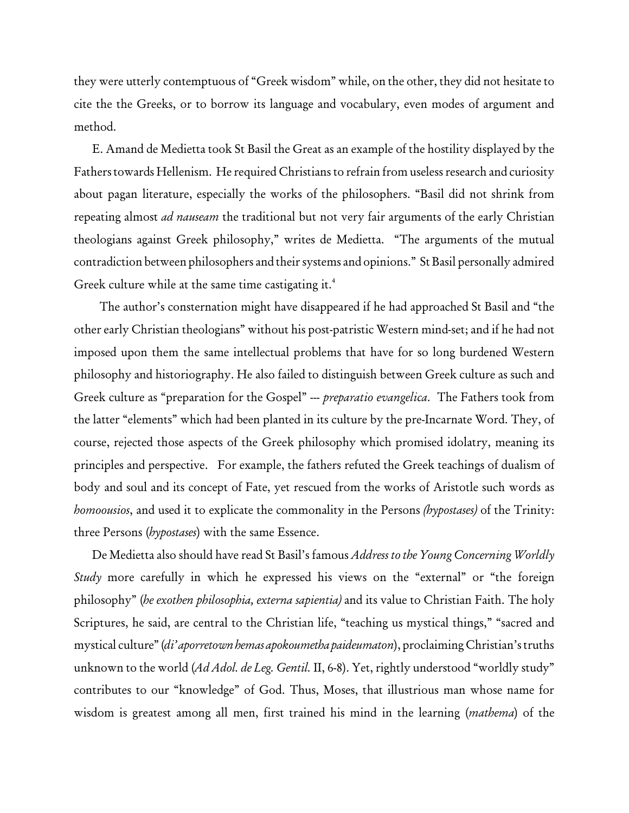they were utterly contemptuous of "Greek wisdom" while, on the other, they did not hesitate to cite the the Greeks, or to borrow its language and vocabulary, even modes of argument and method.

E. Amand de Medietta took St Basil the Great as an example of the hostility displayed by the Fathers towards Hellenism. He required Christians to refrain from useless research and curiosity about pagan literature, especially the works of the philosophers. "Basil did not shrink from repeating almost *ad nauseam* the traditional but not very fair arguments of the early Christian theologians against Greek philosophy," writes de Medietta. "The arguments of the mutual contradiction between philosophers and their systems and opinions." St Basil personally admired Greek culture while at the same time castigating it.<sup>4</sup>

 The author's consternation might have disappeared if he had approached St Basil and "the other early Christian theologians" without his post-patristic Western mind-set; and if he had not imposed upon them the same intellectual problems that have for so long burdened Western philosophy and historiography. He also failed to distinguish between Greek culture as such and Greek culture as "preparation for the Gospel" --- *preparatio evangelica*. The Fathers took from the latter "elements" which had been planted in its culture by the pre-Incarnate Word. They, of course, rejected those aspects of the Greek philosophy which promised idolatry, meaning its principles and perspective. For example, the fathers refuted the Greek teachings of dualism of body and soul and its concept of Fate, yet rescued from the works of Aristotle such words as *homoousios*, and used it to explicate the commonality in the Persons *(hypostases)* of the Trinity: three Persons (*hypostases*) with the same Essence.

De Medietta also should have read St Basil's famous *Address to the Young Concerning Worldly Study* more carefully in which he expressed his views on the "external" or "the foreign philosophy" (*he exothen philosophia, externa sapientia)* and its value to Christian Faith. The holy Scriptures, he said, are central to the Christian life, "teaching us mystical things," "sacred and mystical culture" (*di' aporretownhemas apokoumetha paideumaton*), proclaiming Christian's truths unknown to the world (*Ad Adol. de Leg. Gentil.* II, 6-8). Yet, rightly understood "worldly study" contributes to our "knowledge" of God. Thus, Moses, that illustrious man whose name for wisdom is greatest among all men, first trained his mind in the learning (*mathema*) of the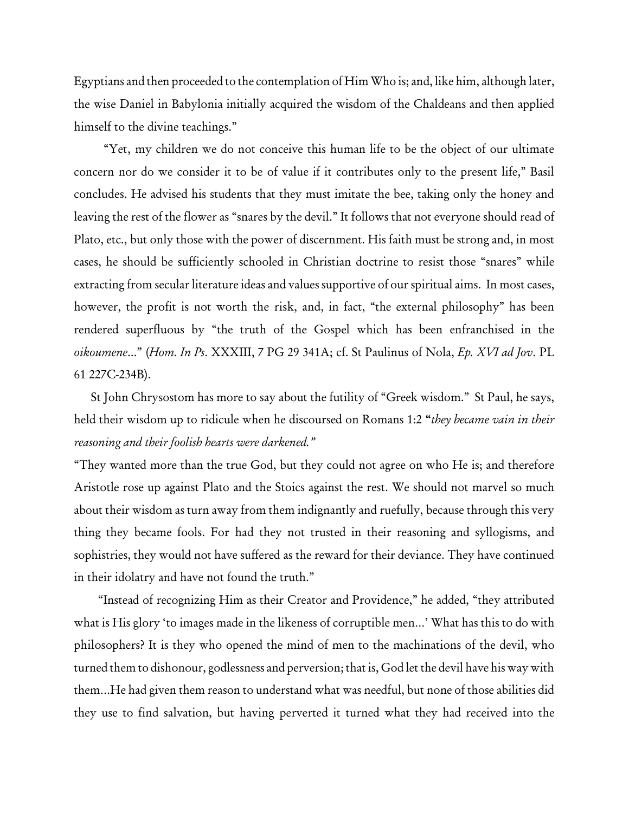Egyptians and then proceeded to the contemplation of Him Who is; and, like him, although later, the wise Daniel in Babylonia initially acquired the wisdom of the Chaldeans and then applied himself to the divine teachings."

"Yet, my children we do not conceive this human life to be the object of our ultimate concern nor do we consider it to be of value if it contributes only to the present life," Basil concludes. He advised his students that they must imitate the bee, taking only the honey and leaving the rest of the flower as "snares by the devil." It follows that not everyone should read of Plato, etc., but only those with the power of discernment. His faith must be strong and, in most cases, he should be sufficiently schooled in Christian doctrine to resist those "snares" while extracting from secular literature ideas and values supportive of our spiritual aims. In most cases, however, the profit is not worth the risk, and, in fact, "the external philosophy" has been rendered superfluous by "the truth of the Gospel which has been enfranchised in the *oikoumene*..." (*Hom. In Ps*. XXXIII, 7 PG 29 341A; cf. St Paulinus of Nola, *Ep. XVI ad Jov*. PL 61 227C-234B).

St John Chrysostom has more to say about the futility of "Greek wisdom." St Paul, he says, held their wisdom up to ridicule when he discoursed on Romans 1:2 **"***they became vain in their reasoning and their foolish hearts were darkened."*

"They wanted more than the true God, but they could not agree on who He is; and therefore Aristotle rose up against Plato and the Stoics against the rest. We should not marvel so much about their wisdom as turn away from them indignantly and ruefully, because through this very thing they became fools. For had they not trusted in their reasoning and syllogisms, and sophistries, they would not have suffered as the reward for their deviance. They have continued in their idolatry and have not found the truth."

"Instead of recognizing Him as their Creator and Providence," he added, "they attributed what is His glory 'to images made in the likeness of corruptible men…' What has this to do with philosophers? It is they who opened the mind of men to the machinations of the devil, who turned them to dishonour, godlessness and perversion; that is, God let the devil have his way with them…He had given them reason to understand what was needful, but none of those abilities did they use to find salvation, but having perverted it turned what they had received into the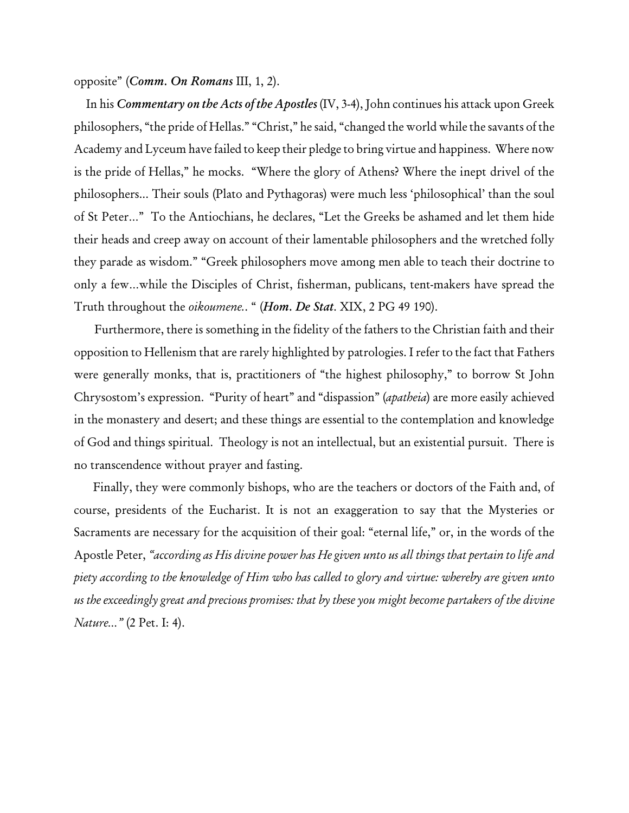opposite" (*Comm. On Romans* III, 1, 2).

In his *Commentary on the Acts of the Apostles*(IV, 3-4), John continues his attack upon Greek philosophers, "the pride of Hellas." "Christ," he said, "changed the world while the savants of the Academy and Lyceum have failed to keep their pledge to bring virtue and happiness. Where now is the pride of Hellas," he mocks. "Where the glory of Athens? Where the inept drivel of the philosophers... Their souls (Plato and Pythagoras) were much less 'philosophical' than the soul of St Peter…" To the Antiochians, he declares, "Let the Greeks be ashamed and let them hide their heads and creep away on account of their lamentable philosophers and the wretched folly they parade as wisdom." "Greek philosophers move among men able to teach their doctrine to only a few…while the Disciples of Christ, fisherman, publicans, tent-makers have spread the Truth throughout the *oikoumene.*. " (*Hom. De Stat*. XIX, 2 PG 49 190).

Furthermore, there is something in the fidelity of the fathers to the Christian faith and their opposition to Hellenism that are rarely highlighted by patrologies. I refer to the fact that Fathers were generally monks, that is, practitioners of "the highest philosophy," to borrow St John Chrysostom's expression. "Purity of heart" and "dispassion" (*apatheia*) are more easily achieved in the monastery and desert; and these things are essential to the contemplation and knowledge of God and things spiritual. Theology is not an intellectual, but an existential pursuit. There is no transcendence without prayer and fasting.

 Finally, they were commonly bishops, who are the teachers or doctors of the Faith and, of course, presidents of the Eucharist. It is not an exaggeration to say that the Mysteries or Sacraments are necessary for the acquisition of their goal: "eternal life," or, in the words of the Apostle Peter, *"according as His divine power has He given unto us all things that pertain to life and piety according to the knowledge of Him who has called to glory and virtue: whereby are given unto us the exceedingly great and precious promises: that by these you might become partakers of the divine Nature…"* (2 Pet. I: 4).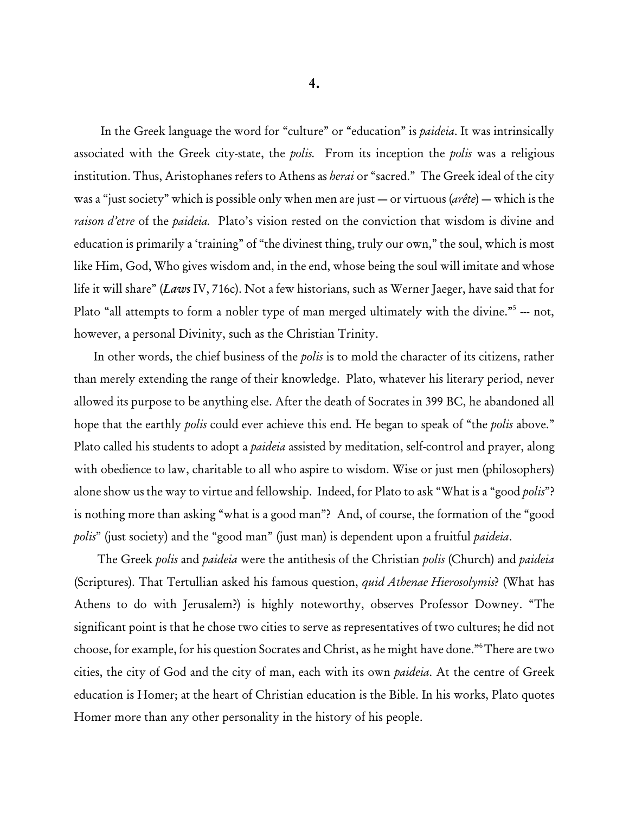In the Greek language the word for "culture" or "education" is *paideia*. It was intrinsically associated with the Greek city-state, the *polis.* From its inception the *polis* was a religious institution. Thus, Aristophanes refers to Athens as *herai* or "sacred." The Greek ideal of the city was a "just society" which is possible only when men are just — or virtuous (*arête*) — which is the *raison d'etre* of the *paideia.* Plato's vision rested on the conviction that wisdom is divine and education is primarily a 'training" of "the divinest thing, truly our own," the soul, which is most like Him, God, Who gives wisdom and, in the end, whose being the soul will imitate and whose life it will share" (*Laws* IV, 716c). Not a few historians, such as Werner Jaeger, have said that for Plato "all attempts to form a nobler type of man merged ultimately with the divine."<sup>5</sup> --- not, however, a personal Divinity, such as the Christian Trinity.

 In other words, the chief business of the *polis* is to mold the character of its citizens, rather than merely extending the range of their knowledge. Plato, whatever his literary period, never allowed its purpose to be anything else. After the death of Socrates in 399 BC, he abandoned all hope that the earthly *polis* could ever achieve this end. He began to speak of "the *polis* above." Plato called his students to adopt a *paideia* assisted by meditation, self-control and prayer, along with obedience to law, charitable to all who aspire to wisdom. Wise or just men (philosophers) alone show us the way to virtue and fellowship. Indeed, for Plato to ask "What is a "good *polis*"? is nothing more than asking "what is a good man"? And, of course, the formation of the "good *polis*" (just society) and the "good man" (just man) is dependent upon a fruitful *paideia*.

The Greek *polis* and *paideia* were the antithesis of the Christian *polis* (Church) and *paideia* (Scriptures). That Tertullian asked his famous question, *quid Athenae Hierosolymis*? (What has Athens to do with Jerusalem?) is highly noteworthy, observes Professor Downey. "The significant point is that he chose two cities to serve as representatives of two cultures; he did not choose, for example, for his question Socrates and Christ, as he might have done." There are two cities, the city of God and the city of man, each with its own *paideia*. At the centre of Greek education is Homer; at the heart of Christian education is the Bible. In his works, Plato quotes Homer more than any other personality in the history of his people.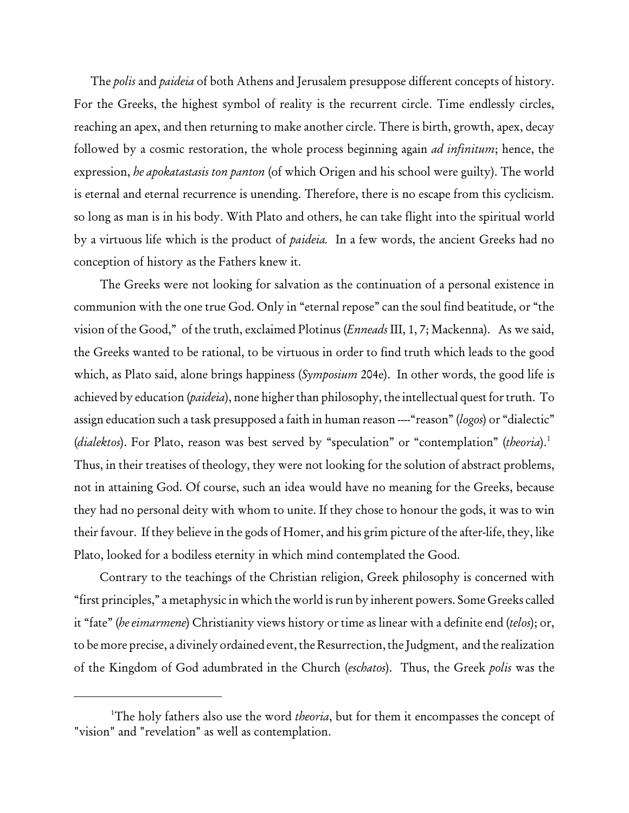The *polis* and *paideia* of both Athens and Jerusalem presuppose different concepts of history. For the Greeks, the highest symbol of reality is the recurrent circle. Time endlessly circles, reaching an apex, and then returning to make another circle. There is birth, growth, apex, decay followed by a cosmic restoration, the whole process beginning again *ad infinitum*; hence, the expression, *he apokatastasis ton panton* (of which Origen and his school were guilty). The world is eternal and eternal recurrence is unending. Therefore, there is no escape from this cyclicism. so long as man is in his body. With Plato and others, he can take flight into the spiritual world by a virtuous life which is the product of *paideia.* In a few words, the ancient Greeks had no conception of history as the Fathers knew it.

The Greeks were not looking for salvation as the continuation of a personal existence in communion with the one true God. Only in "eternal repose" can the soul find beatitude, or "the vision of the Good," of the truth, exclaimed Plotinus (*Enneads* III, 1, 7; Mackenna). As we said, the Greeks wanted to be rational, to be virtuous in order to find truth which leads to the good which, as Plato said, alone brings happiness (*Symposium* 204e). In other words, the good life is achieved by education (*paideia*), none higher than philosophy, the intellectual quest for truth. To assign education such a task presupposed a faith in human reason ----"reason" (*logos*) or "dialectic" (*dialektos*). For Plato, reason was best served by "speculation" or "contemplation" (*theoria*).<sup>1</sup> Thus, in their treatises of theology, they were not looking for the solution of abstract problems, not in attaining God. Of course, such an idea would have no meaning for the Greeks, because they had no personal deity with whom to unite. If they chose to honour the gods, it was to win their favour. If they believe in the gods of Homer, and his grim picture of the after-life, they, like Plato, looked for a bodiless eternity in which mind contemplated the Good.

Contrary to the teachings of the Christian religion, Greek philosophy is concerned with "first principles," a metaphysic in which the world is run by inherent powers. SomeGreeks called it "fate" (*he eimarmene*) Christianity views history or time as linear with a definite end (*telos*); or, to be more precise, a divinely ordained event, the Resurrection, the Judgment, and the realization of the Kingdom of God adumbrated in the Church (*eschatos*). Thus, the Greek *polis* was the

<sup>&</sup>lt;sup>1</sup>The holy fathers also use the word *theoria*, but for them it encompasses the concept of "vision" and "revelation" as well as contemplation.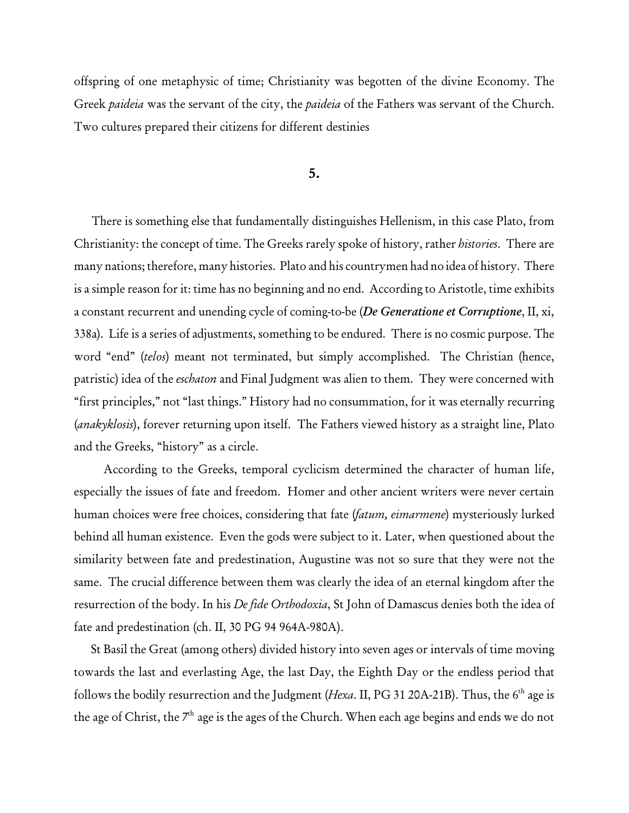offspring of one metaphysic of time; Christianity was begotten of the divine Economy. The Greek *paideia* was the servant of the city, the *paideia* of the Fathers was servant of the Church. Two cultures prepared their citizens for different destinies

**5.**

There is something else that fundamentally distinguishes Hellenism, in this case Plato, from Christianity: the concept of time. The Greeks rarely spoke of history, rather *histories*. There are many nations; therefore, many histories. Plato and his countrymen had no idea of history. There is a simple reason for it: time has no beginning and no end. According to Aristotle, time exhibits a constant recurrent and unending cycle of coming-to-be (*De Generatione et Corruptione*, II, xi, 338a). Life is a series of adjustments, something to be endured. There is no cosmic purpose. The word "end" (*telos*) meant not terminated, but simply accomplished. The Christian (hence, patristic) idea of the *eschaton* and Final Judgment was alien to them. They were concerned with "first principles," not "last things." History had no consummation, for it was eternally recurring (*anakyklosis*), forever returning upon itself. The Fathers viewed history as a straight line, Plato and the Greeks, "history" as a circle.

According to the Greeks, temporal cyclicism determined the character of human life, especially the issues of fate and freedom. Homer and other ancient writers were never certain human choices were free choices, considering that fate (*fatum, eimarmene*) mysteriously lurked behind all human existence. Even the gods were subject to it. Later, when questioned about the similarity between fate and predestination, Augustine was not so sure that they were not the same. The crucial difference between them was clearly the idea of an eternal kingdom after the resurrection of the body. In his *De fide Orthodoxia*, St John of Damascus denies both the idea of fate and predestination (ch. II, 30 PG 94 964A-980A).

St Basil the Great (among others) divided history into seven ages or intervals of time moving towards the last and everlasting Age, the last Day, the Eighth Day or the endless period that follows the bodily resurrection and the Judgment (*Hexa*. II, PG 31 20A-21B). Thus, the 6<sup>th</sup> age is the age of Christ, the  $7<sup>th</sup>$  age is the ages of the Church. When each age begins and ends we do not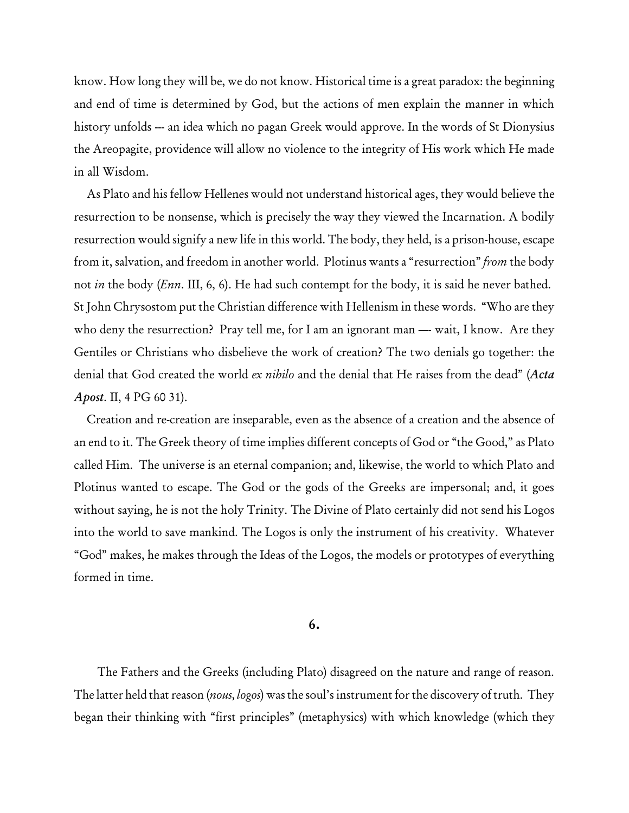know. How long they will be, we do not know. Historical time is a great paradox: the beginning and end of time is determined by God, but the actions of men explain the manner in which history unfolds --- an idea which no pagan Greek would approve. In the words of St Dionysius the Areopagite, providence will allow no violence to the integrity of His work which He made in all Wisdom.

As Plato and his fellow Hellenes would not understand historical ages, they would believe the resurrection to be nonsense, which is precisely the way they viewed the Incarnation. A bodily resurrection would signify a new life in this world. The body, they held, is a prison-house, escape from it, salvation, and freedom in another world. Plotinus wants a "resurrection" *from* the body not *in* the body (*Enn*. III, 6, 6). He had such contempt for the body, it is said he never bathed. St John Chrysostom put the Christian difference with Hellenism in these words. "Who are they who deny the resurrection? Pray tell me, for I am an ignorant man —- wait, I know. Are they Gentiles or Christians who disbelieve the work of creation? The two denials go together: the denial that God created the world *ex nihilo* and the denial that He raises from the dead" (*Acta Apost*. II, 4 PG 60 31).

 Creation and re-creation are inseparable, even as the absence of a creation and the absence of an end to it. The Greek theory of time implies different concepts of God or "the Good," as Plato called Him. The universe is an eternal companion; and, likewise, the world to which Plato and Plotinus wanted to escape. The God or the gods of the Greeks are impersonal; and, it goes without saying, he is not the holy Trinity. The Divine of Plato certainly did not send his Logos into the world to save mankind. The Logos is only the instrument of his creativity. Whatever "God" makes, he makes through the Ideas of the Logos, the models or prototypes of everything formed in time.

#### **6.**

The Fathers and the Greeks (including Plato) disagreed on the nature and range of reason. The latter held that reason (*nous, logos*) was the soul's instrument for the discovery of truth. They began their thinking with "first principles" (metaphysics) with which knowledge (which they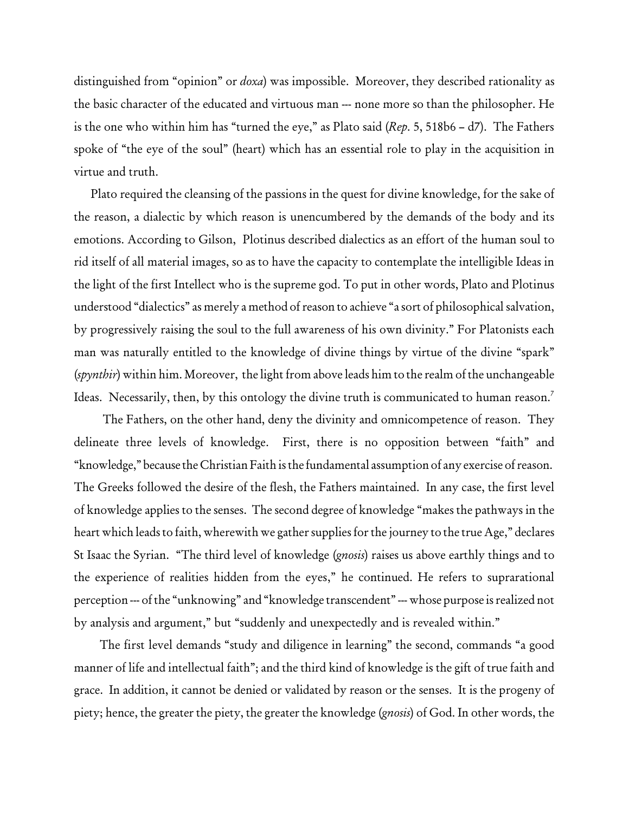distinguished from "opinion" or *doxa*) was impossible. Moreover, they described rationality as the basic character of the educated and virtuous man --- none more so than the philosopher. He is the one who within him has "turned the eye," as Plato said (*Rep*. 5, 518b6 – d7). The Fathers spoke of "the eye of the soul" (heart) which has an essential role to play in the acquisition in virtue and truth.

Plato required the cleansing of the passions in the quest for divine knowledge, for the sake of the reason, a dialectic by which reason is unencumbered by the demands of the body and its emotions. According to Gilson, Plotinus described dialectics as an effort of the human soul to rid itself of all material images, so as to have the capacity to contemplate the intelligible Ideas in the light of the first Intellect who is the supreme god. To put in other words, Plato and Plotinus understood "dialectics" as merely a method of reason to achieve "a sort of philosophical salvation, by progressively raising the soul to the full awareness of his own divinity." For Platonists each man was naturally entitled to the knowledge of divine things by virtue of the divine "spark" (*spynthir*) within him. Moreover, the light from above leads him to the realm of the unchangeable Ideas. Necessarily, then, by this ontology the divine truth is communicated to human reason. $^7$ 

 The Fathers, on the other hand, deny the divinity and omnicompetence of reason. They delineate three levels of knowledge. First, there is no opposition between "faith" and "knowledge,"because the Christian Faith is the fundamental assumption of any exercise ofreason. The Greeks followed the desire of the flesh, the Fathers maintained. In any case, the first level of knowledge applies to the senses. The second degree of knowledge "makes the pathways in the heart which leads to faith, wherewith we gather supplies for the journey to the true Age," declares St Isaac the Syrian. "The third level of knowledge (*gnosis*) raises us above earthly things and to the experience of realities hidden from the eyes," he continued. He refers to suprarational perception --- ofthe "unknowing" and "knowledge transcendent" --- whose purpose is realized not by analysis and argument," but "suddenly and unexpectedly and is revealed within."

The first level demands "study and diligence in learning" the second, commands "a good manner of life and intellectual faith"; and the third kind of knowledge is the gift of true faith and grace. In addition, it cannot be denied or validated by reason or the senses. It is the progeny of piety; hence, the greater the piety, the greater the knowledge (*gnosis*) of God. In other words, the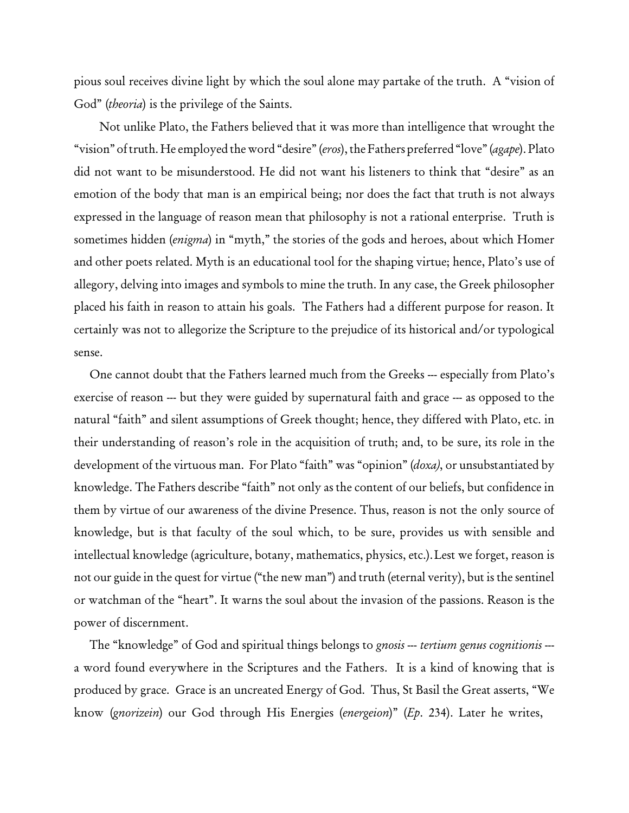pious soul receives divine light by which the soul alone may partake of the truth. A "vision of God" (*theoria*) is the privilege of the Saints.

 Not unlike Plato, the Fathers believed that it was more than intelligence that wrought the "vision" oftruth. He employed theword "desire" (*eros*), the Fathers preferred "love" (*agape*). Plato did not want to be misunderstood. He did not want his listeners to think that "desire" as an emotion of the body that man is an empirical being; nor does the fact that truth is not always expressed in the language of reason mean that philosophy is not a rational enterprise. Truth is sometimes hidden (*enigma*) in "myth," the stories of the gods and heroes, about which Homer and other poets related. Myth is an educational tool for the shaping virtue; hence, Plato's use of allegory, delving into images and symbols to mine the truth. In any case, the Greek philosopher placed his faith in reason to attain his goals. The Fathers had a different purpose for reason. It certainly was not to allegorize the Scripture to the prejudice of its historical and/or typological sense.

 One cannot doubt that the Fathers learned much from the Greeks --- especially from Plato's exercise of reason --- but they were guided by supernatural faith and grace --- as opposed to the natural "faith" and silent assumptions of Greek thought; hence, they differed with Plato, etc. in their understanding of reason's role in the acquisition of truth; and, to be sure, its role in the development of the virtuous man. For Plato "faith" was "opinion" (*doxa)*, or unsubstantiated by knowledge. The Fathers describe "faith" not only as the content of our beliefs, but confidence in them by virtue of our awareness of the divine Presence. Thus, reason is not the only source of knowledge, but is that faculty of the soul which, to be sure, provides us with sensible and intellectual knowledge (agriculture, botany, mathematics, physics, etc.).Lest we forget, reason is not our guide in the quest for virtue ("the new man") and truth (eternal verity), but is the sentinel or watchman of the "heart". It warns the soul about the invasion of the passions. Reason is the power of discernment.

 The "knowledge" of God and spiritual things belongs to *gnosis* --- *tertium genus cognitionis* -- a word found everywhere in the Scriptures and the Fathers. It is a kind of knowing that is produced by grace. Grace is an uncreated Energy of God. Thus, St Basil the Great asserts, "We know (*gnorizein*) our God through His Energies (*energeion*)" (*Ep*. 234). Later he writes,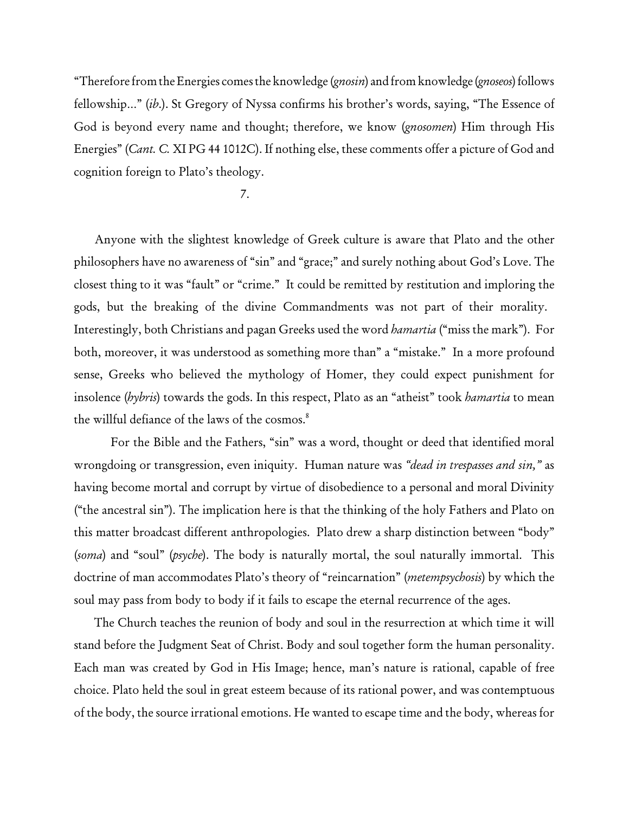"Therefore from theEnergies comes the knowledge (*gnosin*) and from knowledge (*gnoseos*)follows fellowship…" (*ib*.). St Gregory of Nyssa confirms his brother's words, saying, "The Essence of God is beyond every name and thought; therefore, we know (*gnosomen*) Him through His Energies" (*Cant. C.* XI PG 44 1012C). If nothing else, these comments offer a picture of God and cognition foreign to Plato's theology.

#### 7.

Anyone with the slightest knowledge of Greek culture is aware that Plato and the other philosophers have no awareness of "sin" and "grace;" and surely nothing about God's Love. The closest thing to it was "fault" or "crime." It could be remitted by restitution and imploring the gods, but the breaking of the divine Commandments was not part of their morality. Interestingly, both Christians and pagan Greeks used the word *hamartia* ("miss the mark"). For both, moreover, it was understood as something more than" a "mistake." In a more profound sense, Greeks who believed the mythology of Homer, they could expect punishment for insolence (*hybris*) towards the gods. In this respect, Plato as an "atheist" took *hamartia* to mean the willful defiance of the laws of the cosmos.<sup>8</sup>

For the Bible and the Fathers, "sin" was a word, thought or deed that identified moral wrongdoing or transgression, even iniquity. Human nature was *"dead in trespasses and sin,"* as having become mortal and corrupt by virtue of disobedience to a personal and moral Divinity ("the ancestral sin"). The implication here is that the thinking of the holy Fathers and Plato on this matter broadcast different anthropologies. Plato drew a sharp distinction between "body" (*soma*) and "soul" (*psyche*). The body is naturally mortal, the soul naturally immortal. This doctrine of man accommodates Plato's theory of "reincarnation" (*metempsychosis*) by which the soul may pass from body to body if it fails to escape the eternal recurrence of the ages.

The Church teaches the reunion of body and soul in the resurrection at which time it will stand before the Judgment Seat of Christ. Body and soul together form the human personality. Each man was created by God in His Image; hence, man's nature is rational, capable of free choice. Plato held the soul in great esteem because of its rational power, and was contemptuous of the body, the source irrational emotions. He wanted to escape time and the body, whereas for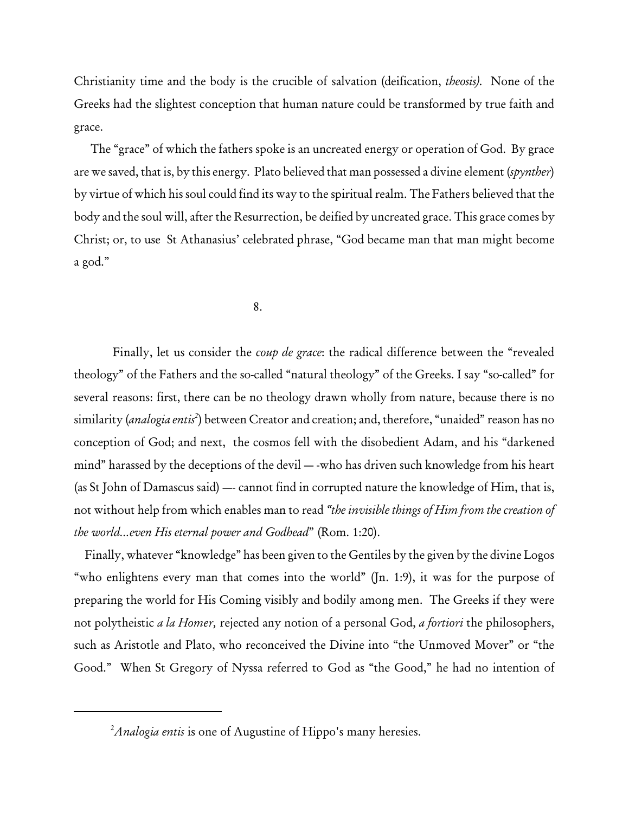Christianity time and the body is the crucible of salvation (deification, *theosis)*. None of the Greeks had the slightest conception that human nature could be transformed by true faith and grace.

The "grace" of which the fathers spoke is an uncreated energy or operation of God. By grace are we saved, that is, by this energy. Plato believed that man possessed a divine element (*spynther*) by virtue of which his soul could find its way to the spiritual realm. The Fathers believed that the body and the soul will, after the Resurrection, be deified by uncreated grace. This grace comes by Christ; or, to use St Athanasius' celebrated phrase, "God became man that man might become a god."

8.

Finally, let us consider the *coup de grace*: the radical difference between the "revealed theology" of the Fathers and the so-called "natural theology" of the Greeks. I say "so-called" for several reasons: first, there can be no theology drawn wholly from nature, because there is no similarity *(analogia entis*<sup>2</sup>) between Creator and creation; and, therefore, "unaided" reason has no conception of God; and next, the cosmos fell with the disobedient Adam, and his "darkened mind" harassed by the deceptions of the devil — -who has driven such knowledge from his heart (as St John of Damascus said) —- cannot find in corrupted nature the knowledge of Him, that is, not without help from which enables man to read *"the invisible things of Him from the creation of the world…even His eternal power and Godhead*" (Rom. 1:20).

Finally, whatever "knowledge" has been given to the Gentiles by the given by the divine Logos "who enlightens every man that comes into the world" (Jn. 1:9), it was for the purpose of preparing the world for His Coming visibly and bodily among men. The Greeks if they were not polytheistic *a la Homer,* rejected any notion of a personal God, *a fortiori* the philosophers, such as Aristotle and Plato, who reconceived the Divine into "the Unmoved Mover" or "the Good." When St Gregory of Nyssa referred to God as "the Good," he had no intention of

<sup>&</sup>lt;sup>2</sup> Analogia entis is one of Augustine of Hippo's many heresies.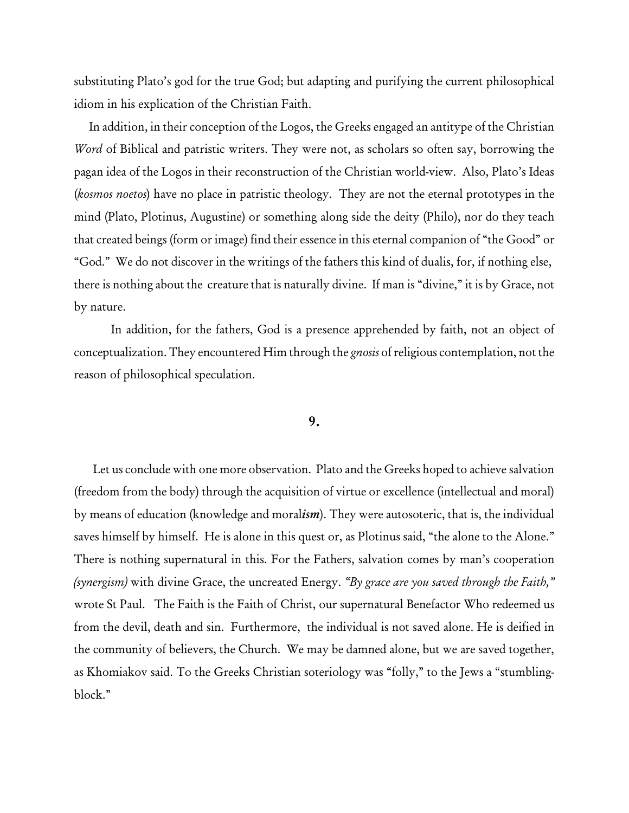substituting Plato's god for the true God; but adapting and purifying the current philosophical idiom in his explication of the Christian Faith.

In addition, in their conception of the Logos, the Greeks engaged an antitype of the Christian *Word* of Biblical and patristic writers. They were not, as scholars so often say, borrowing the pagan idea of the Logos in their reconstruction of the Christian world-view. Also, Plato's Ideas (*kosmos noetos*) have no place in patristic theology. They are not the eternal prototypes in the mind (Plato, Plotinus, Augustine) or something along side the deity (Philo), nor do they teach that created beings (form or image) find their essence in this eternal companion of "the Good" or "God." We do not discover in the writings of the fathers this kind of dualis, for, if nothing else, there is nothing about the creature that is naturally divine. If man is "divine," it is by Grace, not by nature.

In addition, for the fathers, God is a presence apprehended by faith, not an object of conceptualization. They encountered Him through the *gnosis* ofreligious contemplation, not the reason of philosophical speculation.

#### **9.**

Let us conclude with one more observation. Plato and the Greeks hoped to achieve salvation (freedom from the body) through the acquisition of virtue or excellence (intellectual and moral) by means of education (knowledge and moral*ism*). They were autosoteric, that is, the individual saves himself by himself. He is alone in this quest or, as Plotinus said, "the alone to the Alone." There is nothing supernatural in this. For the Fathers, salvation comes by man's cooperation *(synergism)* with divine Grace, the uncreated Energy. *"By grace are you saved through the Faith,"* wrote St Paul. The Faith is the Faith of Christ, our supernatural Benefactor Who redeemed us from the devil, death and sin. Furthermore, the individual is not saved alone. He is deified in the community of believers, the Church. We may be damned alone, but we are saved together, as Khomiakov said. To the Greeks Christian soteriology was "folly," to the Jews a "stumblingblock."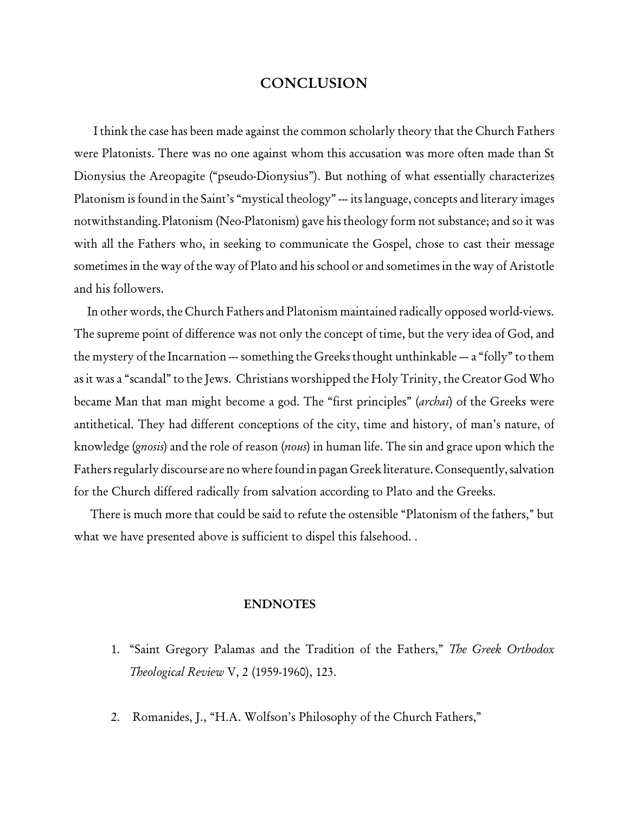### **CONCLUSION**

I think the case has been made against the common scholarly theory that the Church Fathers were Platonists. There was no one against whom this accusation was more often made than St Dionysius the Areopagite ("pseudo-Dionysius"). But nothing of what essentially characterizes Platonism is found in the Saint's "mystical theology" --- its language, concepts and literary images notwithstanding.Platonism (Neo-Platonism) gave his theology form not substance; and so it was with all the Fathers who, in seeking to communicate the Gospel, chose to cast their message sometimes in the way of the way of Plato and his school or and sometimes in the way of Aristotle and his followers.

In other words, the Church Fathers and Platonism maintained radically opposed world-views. The supreme point of difference was not only the concept of time, but the very idea of God, and the mystery of the Incarnation --- something the Greeks thought unthinkable --- a "folly" to them as it was a "scandal" to the Jews. Christians worshipped the Holy Trinity, the Creator God Who became Man that man might become a god. The "first principles" (*archai*) of the Greeks were antithetical. They had different conceptions of the city, time and history, of man's nature, of knowledge (*gnosis*) and the role of reason (*nous*) in human life. The sin and grace upon which the Fathers regularly discourse are no where found in pagan Greek literature. Consequently, salvation for the Church differed radically from salvation according to Plato and the Greeks.

There is much more that could be said to refute the ostensible "Platonism of the fathers," but what we have presented above is sufficient to dispel this falsehood. .

#### **ENDNOTES**

- 1. "Saint Gregory Palamas and the Tradition of the Fathers," *The Greek Orthodox Theological Review* V, 2 (1959-1960), 123.
- 2. Romanides, J., "H.A. Wolfson's Philosophy of the Church Fathers,"